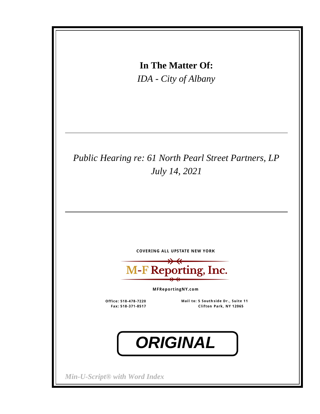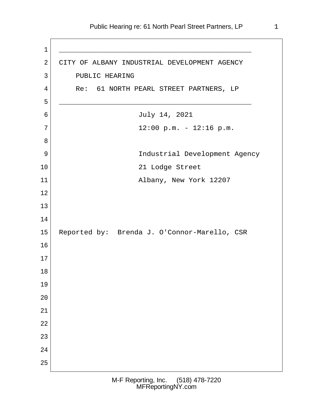1 \_\_\_\_\_\_\_\_\_\_\_\_\_\_\_\_\_\_\_\_\_\_\_\_\_\_\_\_\_\_\_\_\_\_\_\_\_\_\_\_\_\_\_\_\_\_ 2 CITY OF ALBANY INDUSTRIAL DEVELOPMENT AGENCY 3 PUBLIC HEARING 4 Re: 61 NORTH PEARL STREET PARTNERS, LP 5 \_\_\_\_\_\_\_\_\_\_\_\_\_\_\_\_\_\_\_\_\_\_\_\_\_\_\_\_\_\_\_\_\_\_\_\_\_\_\_\_\_\_\_\_\_\_ 6 July 14, 2021  $7 | 12:00 \text{ p.m.} - 12:16 \text{ p.m.}$  8 9 | Industrial Development Agency 10 21 Lodge Street 11 Albany, New York 12207 12 13 14 15 Reported by: Brenda J. O'Connor-Marello, CSR 16 17 18 19 20 21 22 23 24 25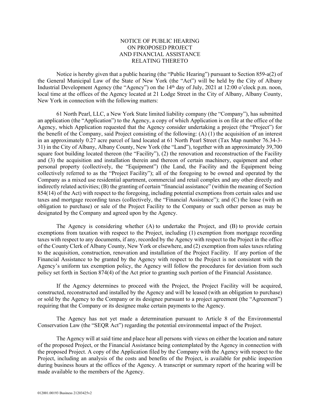## NOTICE OF PUBLIC HEARING ON PROPOSED PROJECT AND FINANCIAL ASSISTANCE RELATING THERETO

Notice is hereby given that a public hearing (the "Public Hearing") pursuant to Section 859-a(2) of the General Municipal Law of the State of New York (the "Act") will be held by the City of Albany Industrial Development Agency (the "Agency") on the 14<sup>th</sup> day of July, 2021 at 12:00 o'clock p.m. noon, local time at the offices of the Agency located at 21 Lodge Street in the City of Albany, Albany County, New York in connection with the following matters:

61 North Pearl, LLC, a New York State limited liability company (the "Company"), has submitted an application (the "Application") to the Agency, a copy of which Application is on file at the office of the Agency, which Application requested that the Agency consider undertaking a project (the "Project") for the benefit of the Company, said Project consisting of the following: (A) (1) the acquisition of an interest in an approximately 0.27 acre parcel of land located at 61 North Pearl Street (Tax Map number 76.34-3- 31) in the City of Albany, Albany County, New York (the "Land"), together with an approximately 39,700 square foot building located thereon (the "Facility"), (2) the renovation and reconstruction of the Facility and (3) the acquisition and installation therein and thereon of certain machinery, equipment and other personal property (collectively, the "Equipment") (the Land, the Facility and the Equipment being collectively referred to as the "Project Facility"); all of the foregoing to be owned and operated by the Company as a mixed use residential apartment, commercial and retail complex and any other directly and indirectly related activities; (B) the granting of certain "financial assistance" (within the meaning of Section 854(14) of the Act) with respect to the foregoing, including potential exemptions from certain sales and use taxes and mortgage recording taxes (collectively, the "Financial Assistance"); and (C) the lease (with an obligation to purchase) or sale of the Project Facility to the Company or such other person as may be designated by the Company and agreed upon by the Agency.

The Agency is considering whether (A) to undertake the Project, and (B) to provide certain exemptions from taxation with respect to the Project, including (1) exemption from mortgage recording taxes with respect to any documents, if any, recorded by the Agency with respect to the Project in the office of the County Clerk of Albany County, New York or elsewhere, and (2) exemption from sales taxes relating to the acquisition, construction, renovation and installation of the Project Facility. If any portion of the Financial Assistance to be granted by the Agency with respect to the Project is not consistent with the Agency's uniform tax exemption policy, the Agency will follow the procedures for deviation from such policy set forth in Section 874(4) of the Act prior to granting such portion of the Financial Assistance.

If the Agency determines to proceed with the Project, the Project Facility will be acquired, constructed, reconstructed and installed by the Agency and will be leased (with an obligation to purchase) or sold by the Agency to the Company or its designee pursuant to a project agreement (the "Agreement") requiring that the Company or its designee make certain payments to the Agency.

The Agency has not yet made a determination pursuant to Article 8 of the Environmental Conservation Law (the "SEQR Act") regarding the potential environmental impact of the Project.

The Agency will at said time and place hear all persons with views on either the location and nature of the proposed Project, or the Financial Assistance being contemplated by the Agency in connection with the proposed Project. A copy of the Application filed by the Company with the Agency with respect to the Project, including an analysis of the costs and benefits of the Project, is available for public inspection during business hours at the offices of the Agency. A transcript or summary report of the hearing will be made available to the members of the Agency.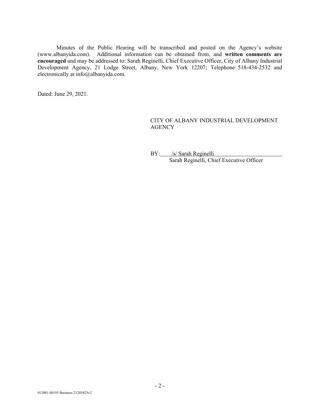Minutes of the Public Hearing will be transcribed and posted on the Agency's website ([www.albanyida.com\)](http://www.albanyida.com/). Additional information can be obtained from, and **written comments are encouraged** and may be addressed to: Sarah Reginelli, Chief Executive Officer, City of Albany Industrial Development Agency, 21 Lodge Street, Albany, New York 12207; Telephone: 518-434-2532 and electronically at [info@albanyida.com.](mailto:info@albanyida.com)

Dated: June 29, 2021.

## CITY OF ALBANY INDUSTRIAL DEVELOPMENT **AGENCY**

BY: /s/ Sarah Reginelli Sarah Reginelli, Chief Executive Officer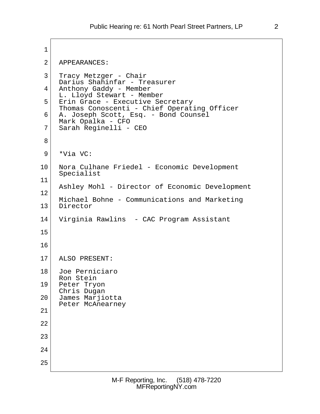```
1 \vert 2 APPEARANCES:
  3 Tracy Metzger - Chair
     Darius Shahinfar - Treasurer
 4 Anthony Gaddy - Member
     L. Lloyd Stewart - Member
 5 Erin Grace - Executive Secretary
     Thomas Conoscenti - Chief Operating Officer
 6 A. Joseph Scott, Esq. - Bond Counsel
     Mark Opalka - CFO
 7 Sarah Reginelli - CEO
 8
9 *Via VC:
10 Nora Culhane Friedel - Economic Development
     Specialist
11
     Ashley Mohl - Director of Economic Development
12
     Michael Bohne - Communications and Marketing
13 Director
14 Virginia Rawlins - CAC Program Assistant
15
16
17 ALSO PRESENT:
18 Joe Perniciaro
     Ron Stein
19 Peter Tryon
     Chris Dugan
20 James Marjiotta
     Peter McAnearney
21
22
23
24
25
```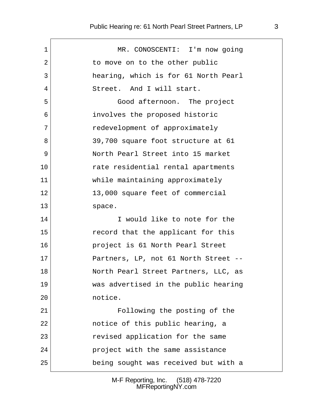## Public Hearing re: 61 North Pearl Street Partners, LP 3

| 1  | MR. CONOSCENTI: I'm now going        |
|----|--------------------------------------|
| 2  | to move on to the other public       |
| 3  | hearing, which is for 61 North Pearl |
| 4  | Street. And I will start.            |
| 5  | Good afternoon. The project          |
| 6  | involves the proposed historic       |
| 7  | redevelopment of approximately       |
| 8  | 39,700 square foot structure at 61   |
| 9  | North Pearl Street into 15 market    |
| 10 | rate residential rental apartments   |
| 11 | while maintaining approximately      |
| 12 | 13,000 square feet of commercial     |
| 13 | space.                               |
| 14 | I would like to note for the         |
| 15 | record that the applicant for this   |
| 16 | project is 61 North Pearl Street     |
| 17 | Partners, LP, not 61 North Street -- |
| 18 | North Pearl Street Partners, LLC, as |
| 19 | was advertised in the public hearing |
| 20 | notice.                              |
| 21 | Following the posting of the         |
| 22 | notice of this public hearing, a     |
| 23 | revised application for the same     |
| 24 | project with the same assistance     |
| 25 | being sought was received but with a |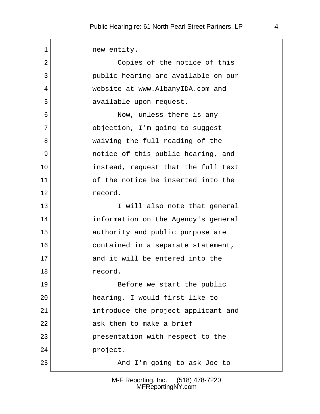1 new entity. 2 Copies of the notice of this 3 public hearing are available on our 4 website at www.AlbanyIDA.com and 5 available upon request. 6 **Now, unless there is any**  7 objection, I'm going to suggest 8 waiving the full reading of the 9 notice of this public hearing, and 10 instead, request that the full text 11 of the notice be inserted into the 12 record. 13 I will also note that general 14 information on the Agency's general 15 authority and public purpose are 16 contained in a separate statement, 17 and it will be entered into the 18 record. 19 Before we start the public 20 hearing, I would first like to 21 introduce the project applicant and 22 ask them to make a brief 23 presentation with respect to the 24 project. 25 And I'm going to ask Joe to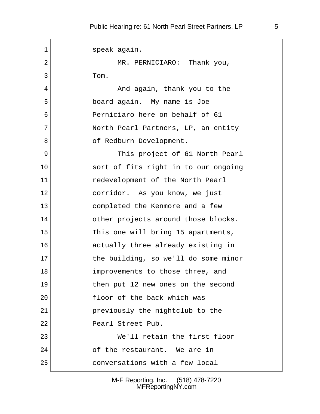1 Speak again. 2 MR. PERNICIARO: Thank you, 3 Tom. 4 And again, thank you to the 5 board again. My name is Joe 6 Perniciaro here on behalf of 61 7 North Pearl Partners, LP, an entity 8 of Redburn Development. 9 This project of 61 North Pearl 10 sort of fits right in to our ongoing 11 redevelopment of the North Pearl 12 corridor. As you know, we just 13 completed the Kenmore and a few 14 other projects around those blocks. 15 This one will bring 15 apartments, 16 actually three already existing in 17 the building, so we'll do some minor 18 improvements to those three, and 19 then put 12 new ones on the second 20 floor of the back which was 21 previously the nightclub to the 22 Pearl Street Pub. 23 We'll retain the first floor 24 of the restaurant. We are in 25 conversations with a few local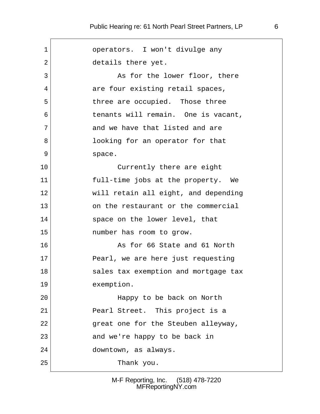| 1       | operators. I won't divulge any       |
|---------|--------------------------------------|
| 2       | details there yet.                   |
| 3       | As for the lower floor, there        |
| 4       | are four existing retail spaces,     |
| 5       | three are occupied. Those three      |
| 6       | tenants will remain. One is vacant,  |
| 7       | and we have that listed and are      |
| 8       | looking for an operator for that     |
| 9       | space.                               |
| 10      | Currently there are eight            |
| 11      | full-time jobs at the property. We   |
| $12 \,$ | will retain all eight, and depending |
| 13      | on the restaurant or the commercial  |
| 14      | space on the lower level, that       |
| 15      | number has room to grow.             |
| 16      | As for 66 State and 61 North         |
| 17      | Pearl, we are here just requesting   |
| 18      | sales tax exemption and mortgage tax |
| 19      | exemption.                           |
| 20      | Happy to be back on North            |
| 21      | Pearl Street. This project is a      |
| 22      | great one for the Steuben alleyway,  |
| 23      | and we're happy to be back in        |
| 24      | downtown, as always.                 |
| 25      | Thank you.                           |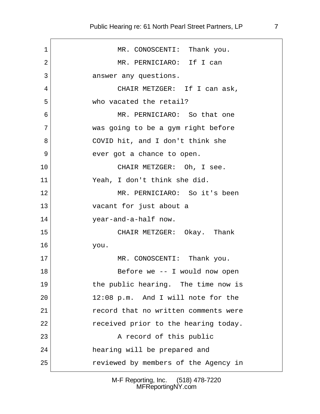| 1  | MR. CONOSCENTI: Thank you.           |
|----|--------------------------------------|
| 2  | MR. PERNICIARO: If I can             |
| 3  | answer any questions.                |
| 4  | CHAIR METZGER: If I can ask,         |
| 5  | who vacated the retail?              |
| 6  | MR. PERNICIARO: So that one          |
| 7  | was going to be a gym right before   |
| 8  | COVID hit, and I don't think she     |
| 9  | ever got a chance to open.           |
| 10 | CHAIR METZGER: Oh, I see.            |
| 11 | Yeah, I don't think she did.         |
| 12 | MR. PERNICIARO: So it's been         |
| 13 | vacant for just about a              |
| 14 | year-and-a-half now.                 |
| 15 | CHAIR METZGER: Okay. Thank           |
| 16 | you.                                 |
| 17 | MR. CONOSCENTI: Thank you.           |
| 18 | Before we -- I would now open        |
| 19 | the public hearing. The time now is  |
| 20 | 12:08 p.m. And I will note for the   |
| 21 | record that no written comments were |
| 22 | received prior to the hearing today. |
| 23 | A record of this public              |
| 24 | hearing will be prepared and         |
| 25 | reviewed by members of the Agency in |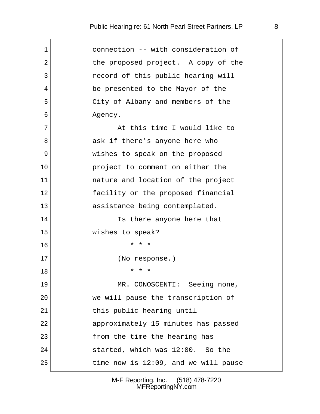| 1  | connection -- with consideration of  |
|----|--------------------------------------|
| 2  | the proposed project. A copy of the  |
| 3  | record of this public hearing will   |
| 4  | be presented to the Mayor of the     |
| 5  | City of Albany and members of the    |
| 6  | Agency.                              |
| 7  | At this time I would like to         |
| 8  | ask if there's anyone here who       |
| 9  | wishes to speak on the proposed      |
| 10 | project to comment on either the     |
| 11 | nature and location of the project   |
| 12 | facility or the proposed financial   |
| 13 | assistance being contemplated.       |
| 14 | Is there anyone here that            |
| 15 | wishes to speak?                     |
| 16 | * * *                                |
| 17 | (No response.)                       |
| 18 | * * *                                |
| 19 | MR. CONOSCENTI: Seeing none,         |
| 20 | we will pause the transcription of   |
| 21 | this public hearing until            |
| 22 | approximately 15 minutes has passed  |
| 23 | from the time the hearing has        |
| 24 | started, which was 12:00. So the     |
| 25 | time now is 12:09, and we will pause |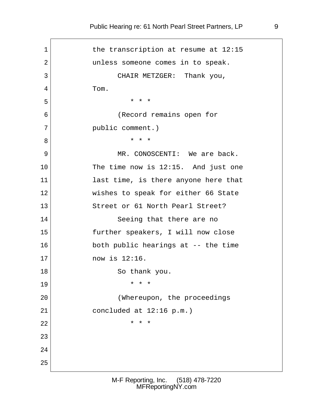1 the transcription at resume at 12:15 2 and a unless someone comes in to speak. 3 CHAIR METZGER: Thank you, 4 Tom.  $5$  \* \* \* 6 (Record remains open for 7 | public comment.) 8 **\*** \* \* \* 9 MR. CONOSCENTI: We are back. 10 The time now is 12:15. And just one 11 last time, is there anyone here that 12 Wishes to speak for either 66 State 13 Street or 61 North Pearl Street? 14 Seeing that there are no 15 further speakers, I will now close 16 both public hearings at -- the time 17 **now is 12:16.** 18 So thank you. 19 \* \* \* 20 | (Whereupon, the proceedings 21 concluded at  $12:16 \text{ p.m.}$ 22  $\vert$  \* \* \* 23 24 25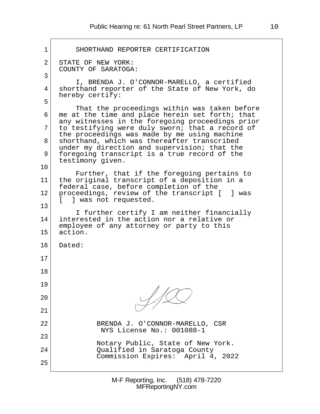1 SHORTHAND REPORTER CERTIFICATION 2 STATE OF NEW YORK: COUNTY OF SARATOGA:  $3 \mid$  I, BRENDA J. O'CONNOR-MARELLO, a certified 4 shorthand reporter of the State of New York, do hereby certify:  $5 \mid$  That the proceedings within was taken before  $6$  me at the time and place herein set forth; that any witnesses in the foregoing proceedings prior  $7$  to testifying were duly sworn; that a record of the proceedings was made by me using machine 8 shorthand, which was thereafter transcribed under my direction and supervision; that the 9 foregoing transcript is a true record of the testimony given. 10 Further, that if the foregoing pertains to 11 the original transcript of a deposition in a federal case, before completion of the 12 | proceedings, review of the transcript [ ] was [ ] was not requested. 13 I further certify I am neither financially 14 interested in the action nor a relative or employee of any attorney or party to this 15 action. 16 Dated: 17 18 19 20 21 22 BRENDA J. O'CONNOR-MARELLO, CSR NYS License No.: 001088-1 23 Notary Public, State of New York. 24 Qualified in Saratoga County Commission Expires: April 4, 2022 25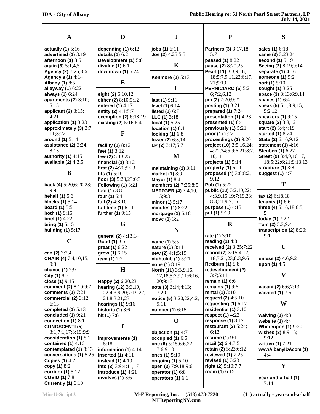| $\mathbf{A}$                                | D                                         | ${\bf J}$                       | ${\bf P}$                                        | S                                                  |
|---------------------------------------------|-------------------------------------------|---------------------------------|--------------------------------------------------|----------------------------------------------------|
| actually $(1)$ 5:16                         | depending $(1)$ 6:12                      | jobs (1) 6:11                   | <b>Partners (3)</b> 3:17,18;                     | sales (1) 6:18                                     |
| advertised (1) 3:19                         | details $(1)$ 6:2                         | Joe (2) $4:25;5:5$              | 5:7                                              | same (2) 3:23,24                                   |
| afternoon (1) 3:5                           | Development (1) 5:8                       |                                 | passed (1) 8:22                                  | second (1) 5:19                                    |
| again (3) $5:1,4,5$                         | divulge $(1)$ 6:1                         | K                               | pause (2) 8:20,25                                | Seeing (2) 8:19;9:14                               |
| Agency (2) 7:25;8:6                         | downtown $(1)$ 6:24                       |                                 | Pearl (11) 3:3,9,16,                             | separate $(1)$ 4:16                                |
| <b>Agency's (1)</b> 4:14                    | E                                         | <b>Kenmore (1)</b> 5:13         | 18;5:7,9,11,22;6:17,                             | someone (1) 9:2                                    |
| <b>Albany (1) 8:5</b><br>alleyway (1) 6:22  |                                           | L                               | 21;9:13<br>PERNICIARO (5) 5:2,                   | sort (1) 5:10<br>sought (1) 3:25                   |
| always (1) 6:24                             | eight (2) 6:10,12                         |                                 | 6;7:2,6,12                                       | space (3) 3:13;6:9,14                              |
| apartments $(2)$ 3:10;                      | either (2) 8:10;9:12                      | last (1) 9:11                   | pm (2) $7:20;9:21$                               | spaces $(1)$ 6:4                                   |
| 5:15                                        | entered (1) 4:17                          | level $(1)$ 6:14                | posting (1) 3:21                                 | speak (5) 5:1;8:9,15;                              |
| applicant $(2)$ 3:15;                       | entity (2) 4:1;5:7                        | listed $(1)$ 6:7                | prepared $(1)$ 7:24                              | 9:2,12                                             |
| 4:21                                        | exemption (2) 6:18,19                     | $LLC(1)$ 3:18                   | presentation (1) 4:23                            | speakers (1) 9:15                                  |
| application (1) 3:23                        | existing (2) 5:16;6:4                     | local (1) $5:25$                | presented (1) 8:4                                | <b>square (2)</b> 3:8,12                           |
| approximately (3) 3:7,                      |                                           | location $(1)$ 8:11             | previously $(1)$ 5:21                            | start (2) 3:4;4:19                                 |
| 11:8:22                                     | $\mathbf F$                               | looking $(1)$ 6:8               | prior (1) 7:22                                   | started (1) 8:24                                   |
| around (1) 5:14                             |                                           | lower (2) 6:3,14                | proceedings (1) 9:20                             | State (2) 6:16;9:12                                |
| assistance $(2)$ 3:24;<br>8:13              | facility $(1)$ 8:12                       | LP (2) $3:17;5:7$               | project (10) 3:5,16,24;<br>4:21,24;5:9;6:21;8:2, | statement $(1)$ 4:16                               |
| authority (1) $4:15$                        | feet (1) 3:12<br>few (2) $5:13,25$        | $\bf M$                         | 10,11                                            | <b>Steuben (1) 6:22</b><br>Street (9) 3:4,9,16,17, |
| available (2) $4:3,5$                       | financial $(1)$ 8:12                      |                                 | projects $(1)$ 5:14                              | 18;5:22;6:21;9:13,13                               |
|                                             | first (2) $4:20;5:23$                     | maintaining $(1)$ 3:11          | property $(1)$ 6:11                              | structure $(1)$ 3:8                                |
| B                                           | fits $(1)$ 5:10                           | market (1) 3:9                  | proposed (4) 3:6;8:2,                            | suggest (1) 4:7                                    |
|                                             | floor (3) $5:20,23;6:3$                   | <b>Mayor (1)</b> 8:4            | 9,12                                             |                                                    |
| back (4) 5:20;6:20,23;                      | <b>Following (1) 3:21</b>                 | members (2) 7:25;8:5            | Pub (1) 5:22                                     | T                                                  |
| 9:9                                         | foot $(1)$ 3:8                            | <b>METZGER (4)</b> 7:4,10,      | public (13) 3:2,19,22;                           |                                                    |
| behalf $(1)$ 5:6                            | four (1) 6:4                              | 15;9:3                          | 4:3,9,15,19;7:19,23;                             | tax (2) $6:18,18$                                  |
| blocks $(1)$ 5:14                           | full (2) $4:8,10$                         | minor (1) 5:17                  | 8:3,21;9:7,16                                    | tenants $(1)$ 6:6                                  |
| board $(1)$ 5:5                             | full-time (1) 6:11                        | minutes $(1)$ 8:22              | purpose (1) 4:15                                 | three (4) 5:16,18;6:5,                             |
| <b>both (1)</b> $9:16$                      | further (1) 9:15                          | mortgage (1) 6:18               | put (1) 5:19                                     | 5                                                  |
| <b>brief (1)</b> $4:22$                     | G                                         | move (1) 3:2                    | $\bf R$                                          | today (1) 7:22                                     |
| bring $(1)$ 5:15<br>building $(1)$ 5:17     |                                           | N                               |                                                  | Tom (2) 5:3;9:4<br>transcription $(2)$ 8:20;       |
|                                             | general (2) 4:13,14                       |                                 | rate (1) 3:10                                    | 9:1                                                |
| $\mathbf C$                                 | Good (1) 3:5                              | name (1) 5:5                    | reading $(1)$ 4:8                                |                                                    |
|                                             | great (1) 6:22                            | nature (1) 8:11                 | received (2) 3:25;7:22                           | U                                                  |
| can (2) 7:2,4                               | grow (1) $6:15$                           | new (2) 4:1;5:19                | record (7) 3:15;4:12,                            |                                                    |
| CHAIR (4) 7:4,10,15;                        | gym (1) 7:7                               | nightclub $(1)$ 5:21            | 18;7:21,23;8:3;9:6                               | unless (2) $4:6;9:2$                               |
| 9:3                                         |                                           | none (1) 8:19                   | <b>Redburn (1)</b> 5:8                           | upon $(1)$ 4:5                                     |
| chance (1) 7:9                              | H                                         | North (11) 3:3,9,16,            | redevelopment (2)                                |                                                    |
| City (1) $8:5$                              |                                           | 17, 18; 5: 7, 9, 11; 6: 16,     | 3:7;5:11                                         | $\boldsymbol{\mathrm{V}}$                          |
| close $(1)$ 9:15                            | Happy (2) 6:20,23                         | 20:9:13                         | remain $(1)$ 6:6                                 |                                                    |
| comment (2) 8:10;9:7                        | hearing (12) 3:3,19,                      | note (3) $3:14;4:13;$           | remains $(1)$ 9:6                                | vacant (2) 6:6;7:13                                |
| comments $(1)$ 7:21                         | 22;4:3,9,20;7:19,22,                      | 7:20                            | rental $(1)$ 3:10                                | vacated $(1)$ 7:5                                  |
| commercial (2) $3:12;$<br>6:13              | 24;8:3,21,23                              | notice (5) 3:20,22;4:2,<br>9,11 | request (2) $4:5,10$<br>requesting $(1)$ 6:17    | W                                                  |
| completed $(1)$ 5:13                        | hearings $(1)$ 9:16<br>historic $(1)$ 3:6 | number (1) 6:15                 | residential (1) 3:10                             |                                                    |
| concluded $(1)$ 9:21                        | hit (1) 7:8                               |                                 | respect $(1)$ 4:23                               | waiving $(1)$ 4:8                                  |
| connection $(1)$ 8:1                        |                                           | $\mathbf 0$                     | response $(1)$ 8:17                              | website $(1)$ 4:4                                  |
| <b>CONOSCENTI (5)</b>                       | $\bf{I}$                                  |                                 | restaurant (2) $5:24$ ;                          | Whereupon $(1)$ 9:20                               |
| 3:1;7:1,17;8:19;9:9                         |                                           | objection (1) 4:7               | 6:13                                             | wishes $(3)$ 8:9,15;                               |
| consideration (1) 8:1                       | improvements (1)                          | occupied $(1)$ 6:5              | resume $(1)$ 9:1                                 | 9:12                                               |
| contained $(1)$ 4:16                        | 5:18                                      | one (5) 5:15;6:6,22;            | retail (2) 6:4;7:5                               | written (1) 7:21                                   |
| contemplated (1) 8:13                       | information (1) $4:14$                    | 7:6;9:10                        | retain (2) 5:23;6:12                             | wwwAlbanyIDAcom (1)                                |
| conversations (1) 5:25                      | inserted $(1)$ 4:11                       | ones (1) 5:19                   | reviewed $(1)$ 7:25                              | 4:4                                                |
| Copies $(1)$ 4:2                            | instead $(1)$ 4:10                        | ongoing $(1)$ 5:10              | <b>revised (1)</b> 3:23                          |                                                    |
| copy (1) 8:2                                | into (3) $3:9;4:11,17$                    | open (3) 7:9,18;9:6             | right (2) $5:10;7:7$                             | $\mathbf Y$                                        |
| corridor (1) $5:12$<br><b>COVID (1)</b> 7:8 | introduce $(1)$ 4:21                      | operator $(1)$ 6:8              | room (1) $6:15$                                  |                                                    |
| <b>Currently (1) 6:10</b>                   | involves $(1)$ 3:6                        | operators $(1)$ 6:1             |                                                  | year-and-a-half (1)<br>7:14                        |
|                                             |                                           |                                 |                                                  |                                                    |